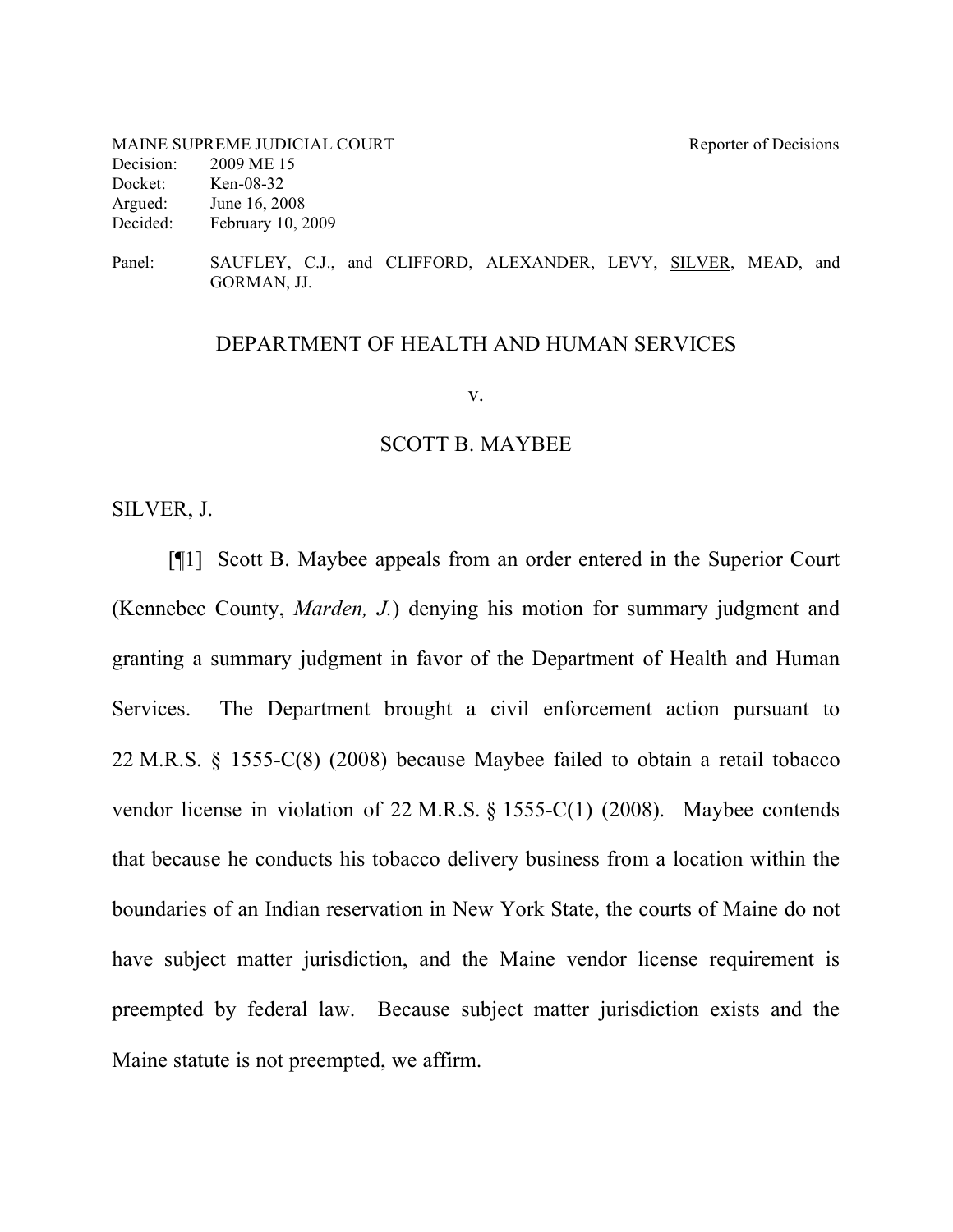| MAINE SUPREME JUDICIAL COURT |                     | Reporter of Decisions |
|------------------------------|---------------------|-----------------------|
| Decision:                    | 2009 ME 15          |                       |
| Docket:                      | Ken-08-32           |                       |
| Argued:                      | June 16, 2008       |                       |
| Decided:                     | February $10, 2009$ |                       |
|                              |                     |                       |

Panel: SAUFLEY, C.J., and CLIFFORD, ALEXANDER, LEVY, SILVER, MEAD, and GORMAN, JJ.

## DEPARTMENT OF HEALTH AND HUMAN SERVICES

#### v.

## SCOTT B. MAYBEE

SILVER, J.

[¶1] Scott B. Maybee appeals from an order entered in the Superior Court (Kennebec County, *Marden, J.*) denying his motion for summary judgment and granting a summary judgment in favor of the Department of Health and Human Services. The Department brought a civil enforcement action pursuant to 22 M.R.S. § 1555-C(8) (2008) because Maybee failed to obtain a retail tobacco vendor license in violation of 22 M.R.S. § 1555-C(1) (2008). Maybee contends that because he conducts his tobacco delivery business from a location within the boundaries of an Indian reservation in New York State, the courts of Maine do not have subject matter jurisdiction, and the Maine vendor license requirement is preempted by federal law. Because subject matter jurisdiction exists and the Maine statute is not preempted, we affirm.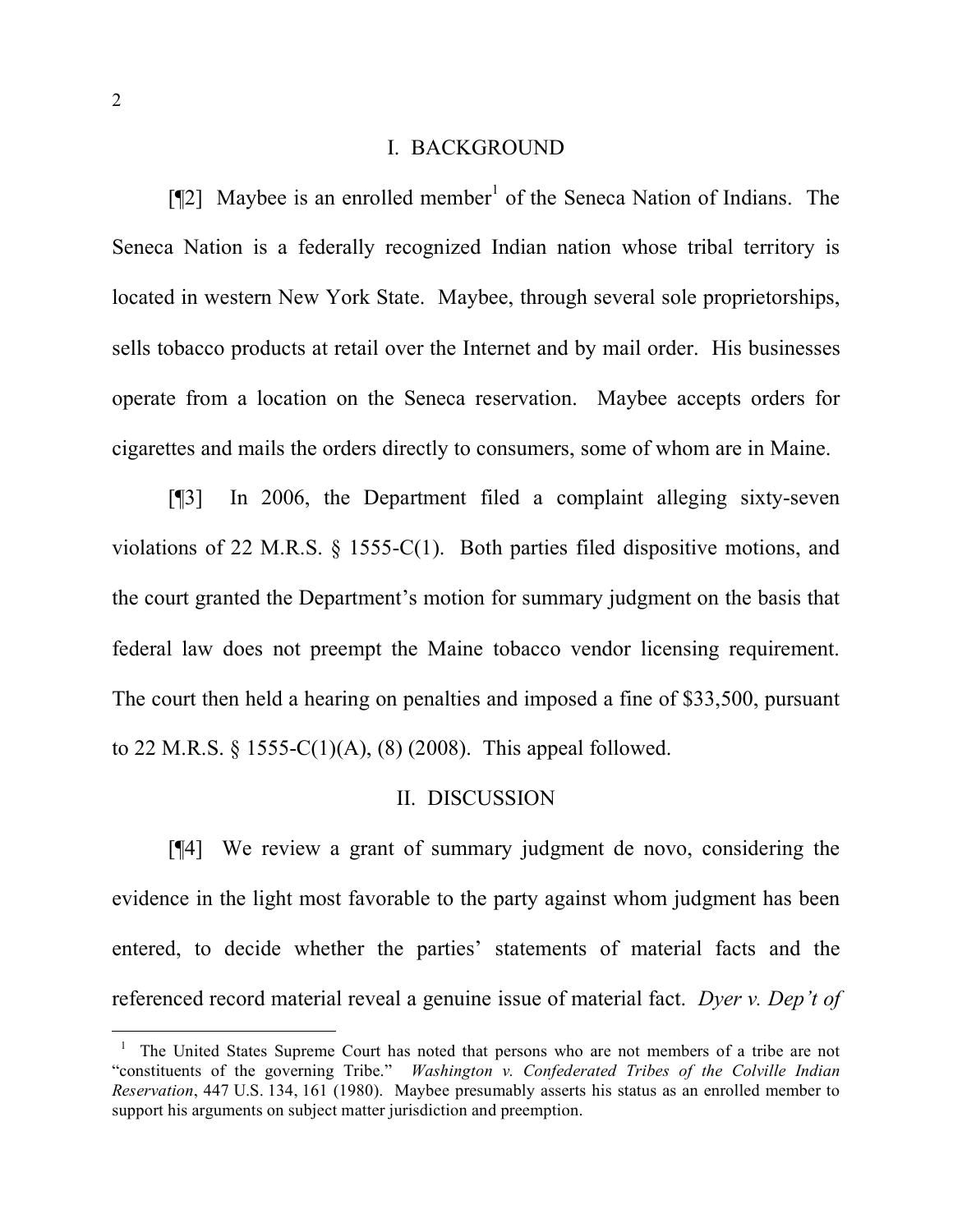### I. BACKGROUND

[¶2] Maybee is an enrolled member<sup>1</sup> of the Seneca Nation of Indians. The Seneca Nation is a federally recognized Indian nation whose tribal territory is located in western New York State. Maybee, through several sole proprietorships, sells tobacco products at retail over the Internet and by mail order. His businesses operate from a location on the Seneca reservation. Maybee accepts orders for cigarettes and mails the orders directly to consumers, some of whom are in Maine.

[¶3] In 2006, the Department filed a complaint alleging sixty-seven violations of 22 M.R.S. § 1555-C(1). Both parties filed dispositive motions, and the court granted the Department's motion for summary judgment on the basis that federal law does not preempt the Maine tobacco vendor licensing requirement. The court then held a hearing on penalties and imposed a fine of \$33,500, pursuant to 22 M.R.S. § 1555-C(1)(A), (8) (2008). This appeal followed.

### II. DISCUSSION

[¶4] We review a grant of summary judgment de novo, considering the evidence in the light most favorable to the party against whom judgment has been entered, to decide whether the parties' statements of material facts and the referenced record material reveal a genuine issue of material fact. *Dyer v. Dep't of*

 $1$  The United States Supreme Court has noted that persons who are not members of a tribe are not "constituents of the governing Tribe." *Washington v. Confederated Tribes of the Colville Indian Reservation*, 447 U.S. 134, 161 (1980). Maybee presumably asserts his status as an enrolled member to support his arguments on subject matter jurisdiction and preemption.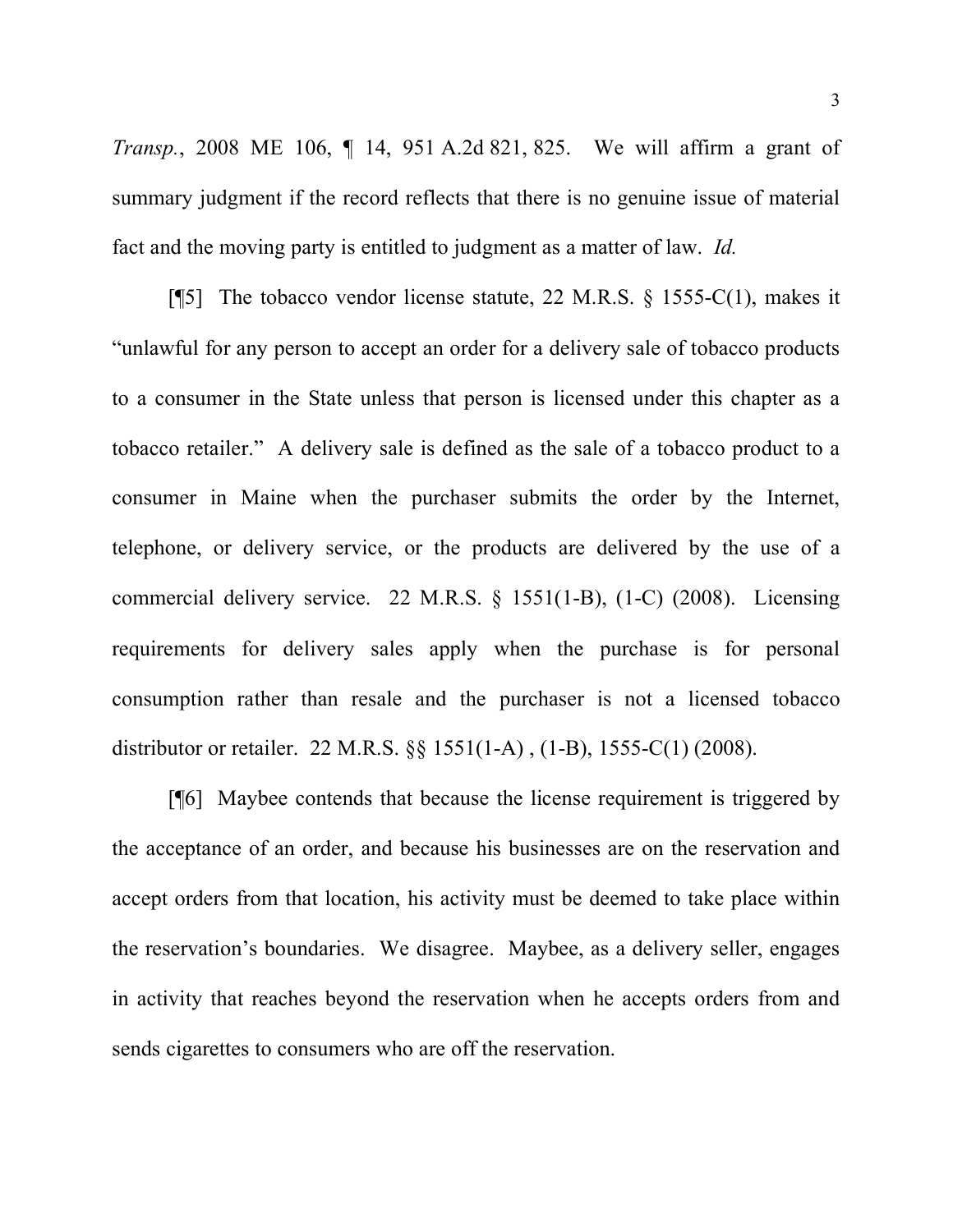*Transp.*, 2008 ME 106, ¶ 14, 951 A.2d 821, 825. We will affirm a grant of summary judgment if the record reflects that there is no genuine issue of material fact and the moving party is entitled to judgment as a matter of law. *Id.*

[¶5] The tobacco vendor license statute, 22 M.R.S. § 1555-C(1), makes it "unlawful for any person to accept an order for a delivery sale of tobacco products to a consumer in the State unless that person is licensed under this chapter as a tobacco retailer." A delivery sale is defined as the sale of a tobacco product to a consumer in Maine when the purchaser submits the order by the Internet, telephone, or delivery service, or the products are delivered by the use of a commercial delivery service. 22 M.R.S. § 1551(1-B), (1-C) (2008). Licensing requirements for delivery sales apply when the purchase is for personal consumption rather than resale and the purchaser is not a licensed tobacco distributor or retailer. 22 M.R.S. §§ 1551(1-A) , (1-B), 1555-C(1) (2008).

[¶6] Maybee contends that because the license requirement is triggered by the acceptance of an order, and because his businesses are on the reservation and accept orders from that location, his activity must be deemed to take place within the reservation's boundaries. We disagree. Maybee, as a delivery seller, engages in activity that reaches beyond the reservation when he accepts orders from and sends cigarettes to consumers who are off the reservation.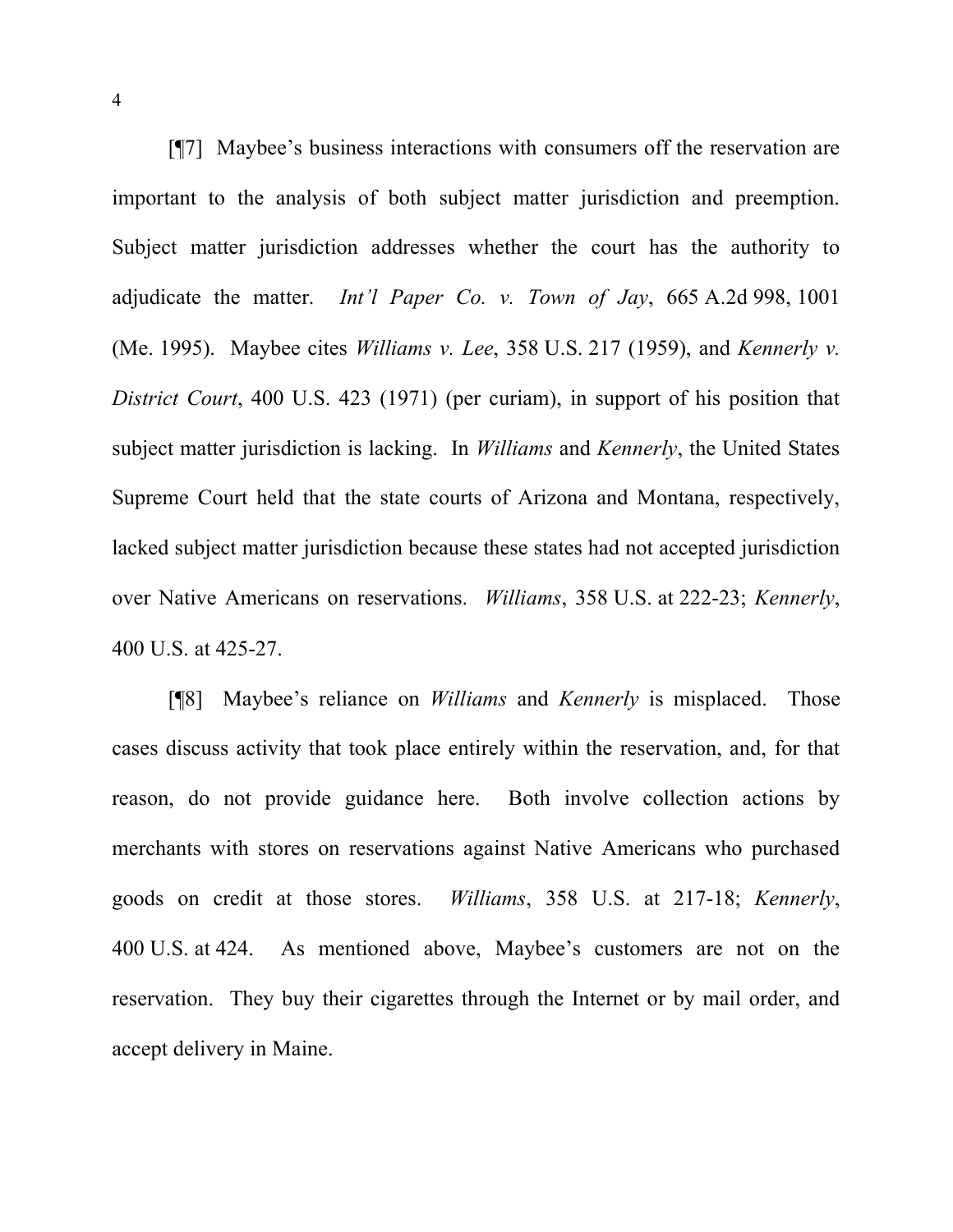[¶7] Maybee's business interactions with consumers off the reservation are important to the analysis of both subject matter jurisdiction and preemption. Subject matter jurisdiction addresses whether the court has the authority to adjudicate the matter. *Int'l Paper Co. v. Town of Jay*, 665 A.2d 998, 1001 (Me. 1995). Maybee cites *Williams v. Lee*, 358 U.S. 217 (1959), and *Kennerly v. District Court*, 400 U.S. 423 (1971) (per curiam), in support of his position that subject matter jurisdiction is lacking. In *Williams* and *Kennerly*, the United States Supreme Court held that the state courts of Arizona and Montana, respectively, lacked subject matter jurisdiction because these states had not accepted jurisdiction over Native Americans on reservations. *Williams*, 358 U.S. at 222-23; *Kennerly*, 400 U.S. at 425-27.

[¶8] Maybee's reliance on *Williams* and *Kennerly* is misplaced. Those cases discuss activity that took place entirely within the reservation, and, for that reason, do not provide guidance here. Both involve collection actions by merchants with stores on reservations against Native Americans who purchased goods on credit at those stores. *Williams*, 358 U.S. at 217-18; *Kennerly*, 400 U.S. at 424. As mentioned above, Maybee's customers are not on the reservation. They buy their cigarettes through the Internet or by mail order, and accept delivery in Maine.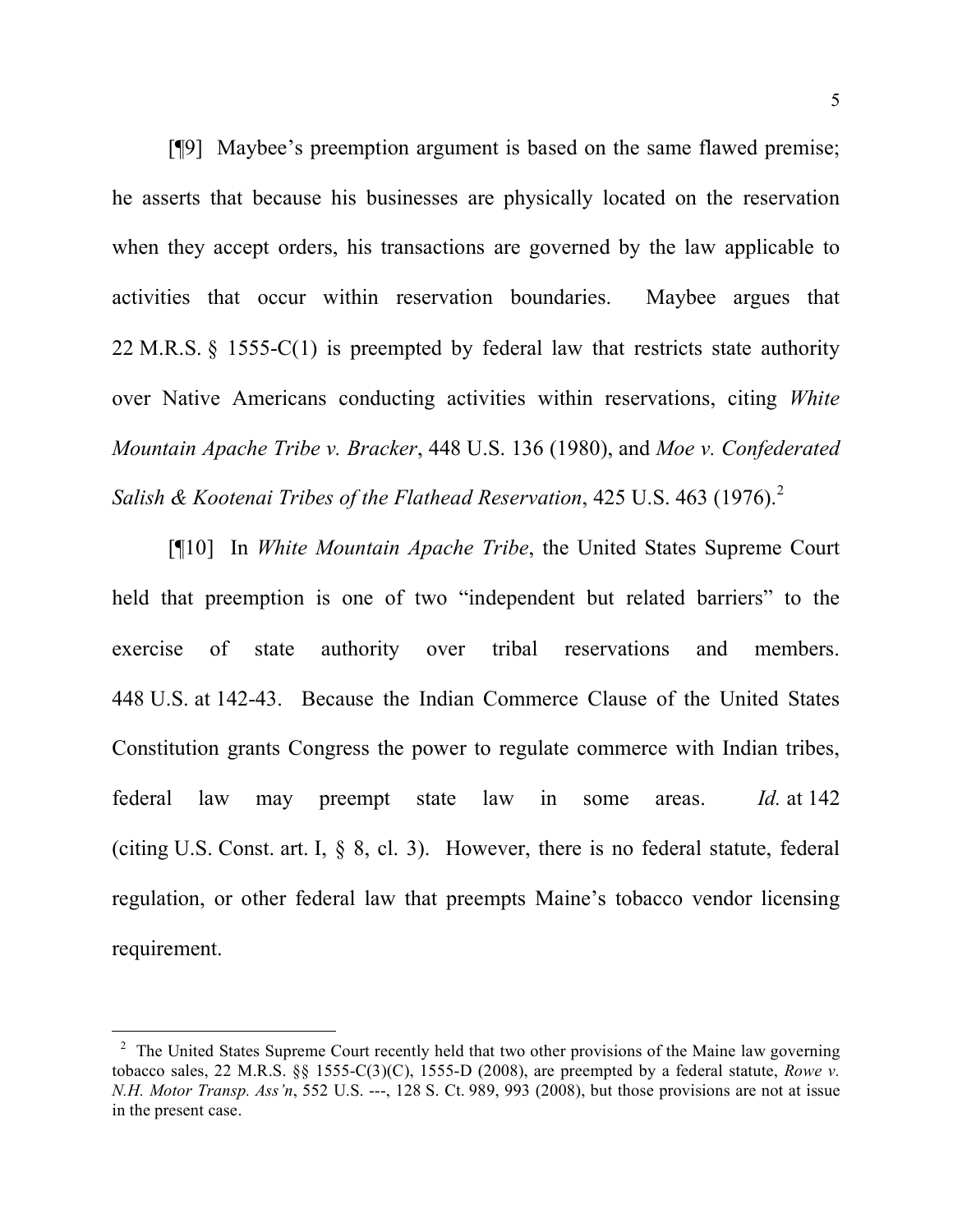[¶9] Maybee's preemption argument is based on the same flawed premise; he asserts that because his businesses are physically located on the reservation when they accept orders, his transactions are governed by the law applicable to activities that occur within reservation boundaries. Maybee argues that 22 M.R.S. § 1555-C(1) is preempted by federal law that restricts state authority over Native Americans conducting activities within reservations, citing *White Mountain Apache Tribe v. Bracker*, 448 U.S. 136 (1980), and *Moe v. Confederated Salish & Kootenai Tribes of the Flathead Reservation*, 425 U.S. 463 (1976). 2

[¶10] In *White Mountain Apache Tribe*, the United States Supreme Court held that preemption is one of two "independent but related barriers" to the exercise of state authority over tribal reservations and members. 448 U.S. at 142-43. Because the Indian Commerce Clause of the United States Constitution grants Congress the power to regulate commerce with Indian tribes, federal law may preempt state law in some areas. *Id.* at 142 (citing U.S. Const. art. I, § 8, cl. 3). However, there is no federal statute, federal regulation, or other federal law that preempts Maine's tobacco vendor licensing requirement.

 $2\degree$  The United States Supreme Court recently held that two other provisions of the Maine law governing tobacco sales, 22 M.R.S. §§ 1555-C(3)(C), 1555-D (2008), are preempted by a federal statute, *Rowe v. N.H. Motor Transp. Ass'n*, 552 U.S. ---, 128 S. Ct. 989, 993 (2008), but those provisions are not at issue in the present case.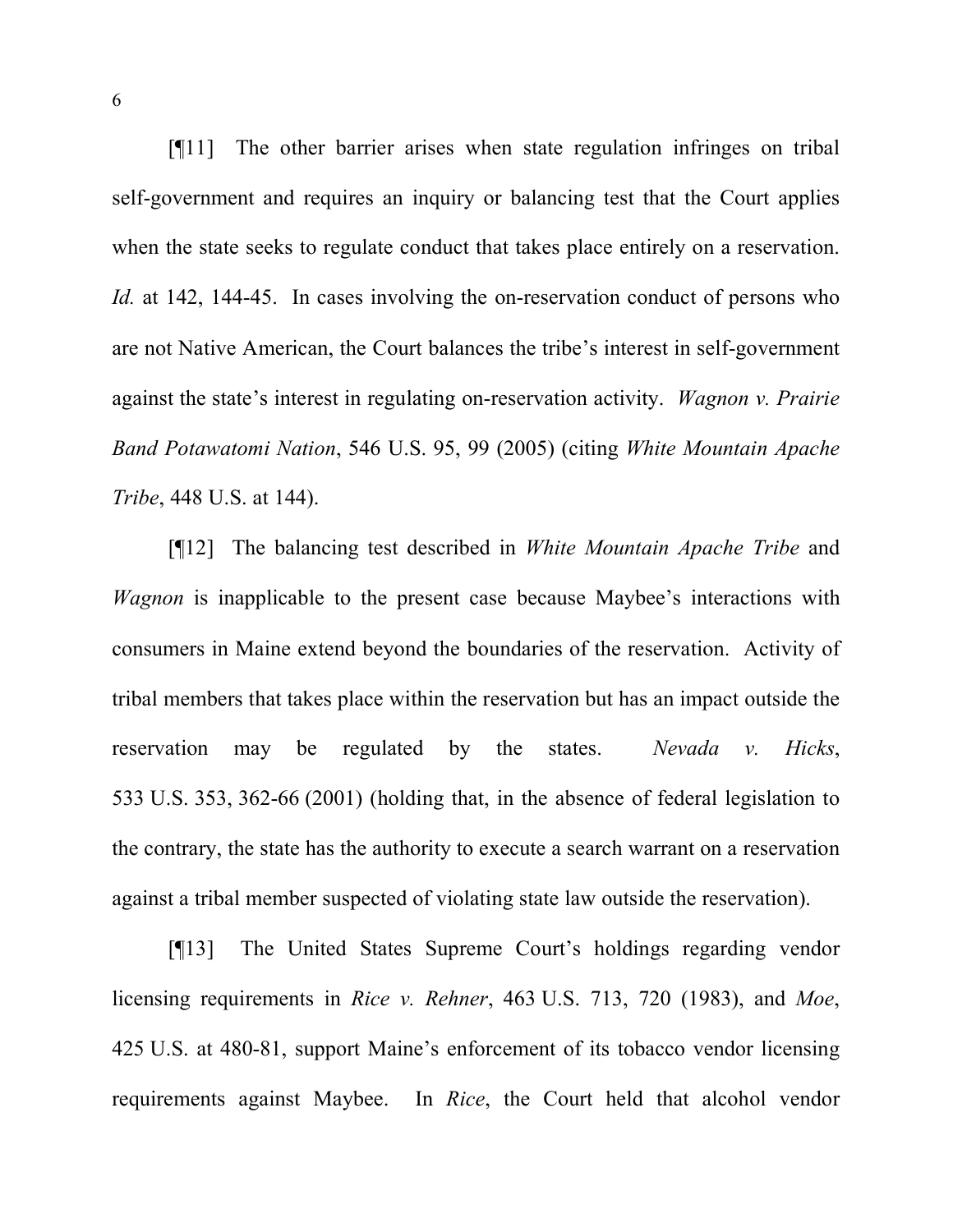[¶11] The other barrier arises when state regulation infringes on tribal self-government and requires an inquiry or balancing test that the Court applies when the state seeks to regulate conduct that takes place entirely on a reservation. *Id.* at 142, 144-45. In cases involving the on-reservation conduct of persons who are not Native American, the Court balances the tribe's interest in self-government against the state's interest in regulating on-reservation activity. *Wagnon v. Prairie Band Potawatomi Nation*, 546 U.S. 95, 99 (2005) (citing *White Mountain Apache Tribe*, 448 U.S. at 144).

[¶12] The balancing test described in *White Mountain Apache Tribe* and *Wagnon* is inapplicable to the present case because Maybee's interactions with consumers in Maine extend beyond the boundaries of the reservation. Activity of tribal members that takes place within the reservation but has an impact outside the reservation may be regulated by the states. *Nevada v. Hicks*, 533 U.S. 353, 362-66 (2001) (holding that, in the absence of federal legislation to the contrary, the state has the authority to execute a search warrant on a reservation against a tribal member suspected of violating state law outside the reservation).

[¶13] The United States Supreme Court's holdings regarding vendor licensing requirements in *Rice v. Rehner*, 463 U.S. 713, 720 (1983), and *Moe*, 425 U.S. at 480-81, support Maine's enforcement of its tobacco vendor licensing requirements against Maybee. In *Rice*, the Court held that alcohol vendor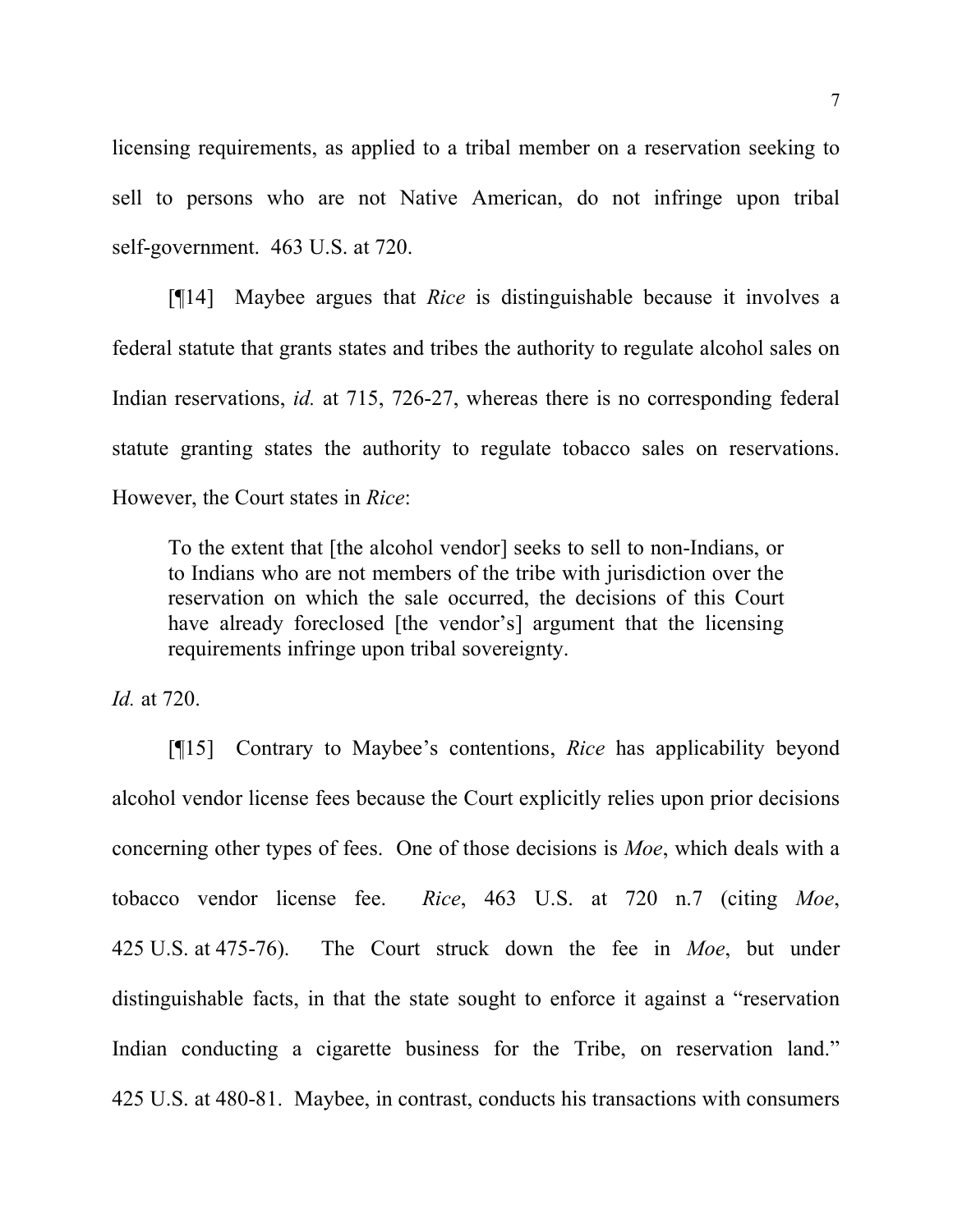licensing requirements, as applied to a tribal member on a reservation seeking to sell to persons who are not Native American, do not infringe upon tribal self-government. 463 U.S. at 720.

[¶14] Maybee argues that *Rice* is distinguishable because it involves a federal statute that grants states and tribes the authority to regulate alcohol sales on Indian reservations, *id.* at 715, 726-27, whereas there is no corresponding federal statute granting states the authority to regulate tobacco sales on reservations. However, the Court states in *Rice*:

To the extent that [the alcohol vendor] seeks to sell to non-Indians, or to Indians who are not members of the tribe with jurisdiction over the reservation on which the sale occurred, the decisions of this Court have already foreclosed [the vendor's] argument that the licensing requirements infringe upon tribal sovereignty.

*Id.* at 720.

[¶15] Contrary to Maybee's contentions, *Rice* has applicability beyond alcohol vendor license fees because the Court explicitly relies upon prior decisions concerning other types of fees. One of those decisions is *Moe*, which deals with a tobacco vendor license fee. *Rice*, 463 U.S. at 720 n.7 (citing *Moe*, 425 U.S. at 475-76). The Court struck down the fee in *Moe*, but under distinguishable facts, in that the state sought to enforce it against a "reservation Indian conducting a cigarette business for the Tribe, on reservation land." 425 U.S. at 480-81. Maybee, in contrast, conducts his transactions with consumers